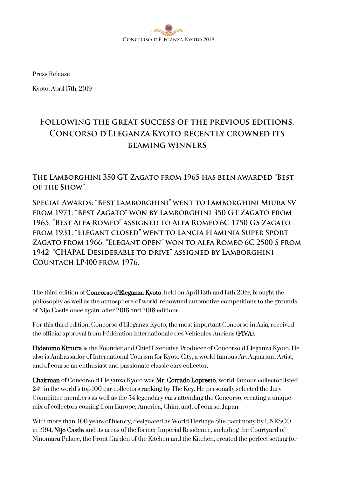

Press Release

Kyoto, April 17th, 2019

# FOLLOWING THE GREAT SUCCESS OF THE PREVIOUS EDITIONS, CONCORSO D'ELEGANZA KYOTO RECENTLY CROWNED ITS **BEAMING WINNERS**

THE LAMBORGHINI 350 GT ZAGATO FROM 1965 HAS BEEN AWARDED "BEST OF THE SHOW".

SPECIAL AWARDS: "BEST LAMBORGHINI" WENT TO LAMBORGHINI MIURA SV FROM 1971; "BEST ZAGATO" WON BY LAMBORGHINI 350 GT ZAGATO FROM 1965; "BEST ALFA ROMEO" ASSIGNED TO ALFA ROMEO 6C 1750 GS ZAGATO FROM 1931; "ELEGANT CLOSED" WENT TO LANCIA FLAMINIA SUPER SPORT ZAGATO FROM 1966; "ELEGANT OPEN" WON TO ALFA ROMEO 6C 2500 S FROM 1942: "CHAPAL DESIDERABLE TO DRIVE" ASSIGNED BY LAMBORGHINI COUNTACH LP400 FROM 1976.

The third edition of Concorso d'Eleganza Kyoto, held on April 13th and 14th 2019, brought the philosophy as well as the atmosphere of world-renowned automotive competitions to the grounds of Nijo Castle once again, after 2016 and 2018 editions.

For this third edition, Concorso d'Eleganza Kyoto, the most important Concorso in Asia, received the official approval from Fédération Internationale des Véhicules Anciens (FIVA).

Hidetomo Kimura is the Founder and Chief Executive Producer of Concorso d'Eleganza Kyoto. He also is Ambassador of International Tourism for Kyoto City, a world-famous Art Aquarium Artist, and of course an enthusiast and passionate classic cars collector.

Chairman of Concorso d'Eleganza Kyoto was Mr. Corrado Lopresto, world-famous collector listed  $24<sup>th</sup>$  in the world's top 100 car collectors ranking by The Key. He personally selected the Jury Committee members as well as the 54 legendary cars attending the Concorso, creating a unique mix of collectors coming from Europe, America, China and, of course, Japan.

With more than 400 years of history, designated as World Heritage Site patrimony by UNESCO in 1994, Nijo Castle and its areas of the former Imperial Residence, including the Courtyard of Ninomaru Palace, the Front Garden of the Kitchen and the Kitchen, created the perfect setting for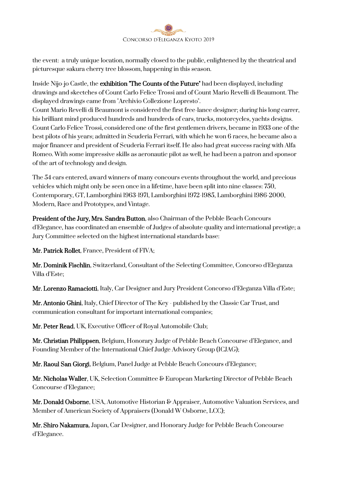

the event: a truly unique location, normally closed to the public, enlightened by the theatrical and picturesque sakura cherry tree blossom, happening in this season.

Inside Nijo-jo Castle, the exhibition "The Counts of the Future" had been displayed, including drawings and skectches of Count Carlo Felice Trossi and of Count Mario Revelli di Beaumont. The displayed drawings came from "Archivio Collezione Lopresto".

Count Mario Revelli di Beaumont is considered the first free-lance designer; during his long carrer, his brilliant mind produced hundreds and hundreds of cars, trucks, motorcycles, yachts designs. Count Carlo Felice Trossi, considered one of the first gentlemen drivers, became in 1933 one of the best pilots of his years; admitted in Scuderia Ferrari, with which he won 6 races, he became also a major financer and president of Scuderia Ferrari itself. He also had great success racing with Alfa Romeo. With some impressive skills as aeronautic pilot as well, he had been a patron and sponsor of the art of technology and design.

The 54 cars entered, award winners of many concours events throughout the world, and precious vehicles which might only be seen once in a lifetime, have been split into nine classes: 750, Contemporary, GT, Lamborghini 1963-1971, Lamborghini 1972-1985, Lamborghini 1986-2000, Modern, Race and Prototypes, and Vintage.

President of the Jury, Mrs. Sandra Button, also Chairman of the Pebble Beach Concours d'Elegance, has coordinated an ensemble of Judges of absolute quality and international prestige; a Jury Committee selected on the highest international standards base:

Mr. Patrick Rollet, France, President of FIVA;

Mr. Dominik Fischlin, Switzerland, Consultant of the Selecting Committee, Concorso d'Eleganza Villa d'Este;

Mr. Lorenzo Ramaciotti, Italy, Car Designer and Jury President Concorso d'Eleganza Villa d'Este;

Mr. Antonio Ghini, Italy, Chief Director of The Key - published by the Classic Car Trust, and communication consultant for important international companies;

Mr. Peter Read, UK, Executive Officer of Royal Automobile Club;

Mr. Christian Philippsen, Belgium, Honorary Judge of Pebble Beach Concourse d'Elegance, and Founding Member of the International Chief Judge Advisory Group (ICJAG);

Mr. Raoul San Giorgi, Belgium, Panel Judge at Pebble Beach Concours d'Elegance;

Mr. Nicholas Waller, UK, Selection Committee & European Marketing Director of Pebble Beach Concourse d'Elegance;

Mr. Donald Osborne, USA, Automotive Historian & Appraiser, Automotive Valuation Services, and Member of American Society of Appraisers (Donald W Osborne, LCC);

Mr. Shiro Nakamura, Japan, Car Designer, and Honorary Judge for Pebble Beach Concourse d'Elegance.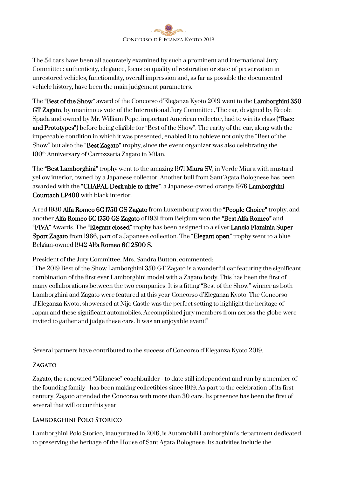

The 54 cars have been all accurately examined by such a prominent and international Jury Committee: authenticity, elegance, focus on quality of restoration or state of preservation in unrestored vehicles, functionality, overall impression and, as far as possible the documented vehicle history, have been the main judgement parameters.

The "Best of the Show" award of the Concorso d'Eleganza Kyoto 2019 went to the Lamborghini 350 GT Zagato, by unanimous vote of the International Jury Committee. The car, designed by Ercole Spada and owned by Mr. William Pope, important American collector, had to win its class ("Race") and Prototypes") before being eligible for "Best of the Show". The rarity of the car, along with the impeccable condition in which it was presented, enabled it to achieve not only the "Best of the Show" but also the "Best Zagato" trophy, since the event organizer was also celebrating the 100th Anniversary of Carrozzeria Zagato in Milan.

The "Best Lamborghini" trophy went to the amazing 1971 Miura SV, in Verde Miura with mustard yellow interior, owned by a Japanese collector. Another bull from Sant'Agata Bolognese has been awarded with the "CHAPAL Desirable to drive": a Japanese-owned orange 1976 Lamborghini Countach LP400 with black interior.

A red 1930 Alfa Romeo 6C 1750 GS Zagato from Luxembourg won the "People Choice" trophy, and another Alfa Romeo 6C 1750 GS Zagato of 1931 from Belgium won the "Best Alfa Romeo" and "FIVA" Awards. The "Elegant closed" trophy has been assigned to a silver Lancia Flaminia Super Sport Zagato from 1966, part of a Japanese collection. The "Elegant open" trophy went to a blue Belgian-owned 1942 Alfa Romeo 6C 2500 S.

President of the Jury Committee, Mrs. Sandra Button, commented:

"The 2019 Best of the Show Lamborghini 350 GT Zagato is a wonderful car featuring the significant combination of the first ever Lamborghini model with a Zagato body. This has been the first of many collaborations between the two companies. It is a fitting "Best of the Show" winner as both Lamborghini and Zagato were featured at this year Concorso d'Eleganza Kyoto. The Concorso d'Eleganza Kyoto, showcased at Nijo Castle was the perfect setting to highlight the heritage of Japan and these significant automobiles. Accomplished jury members from across the globe were invited to gather and judge these cars. It was an enjoyable event!"

Several partners have contributed to the success of Concorso d'Eleganza Kyoto 2019.

#### **ZAGATO**

Zagato, the renowned "Milanese" coachbuilder - to date still independent and run by a member of the founding family - has been making collectibles since 1919. As part to the celebration of its first century, Zagato attended the Concorso with more than 30 cars. Its presence has been the first of several that will occur this year.

#### LAMBORGHINI POLO STORICO

Lamborghini Polo Storico, inaugurated in 2016, is Automobili Lamborghini's department dedicated to preserving the heritage of the House of Sant'Agata Bolognese. Its activities include the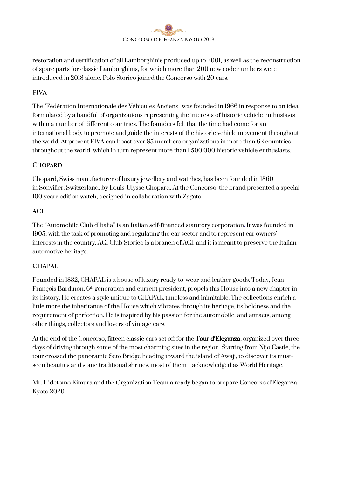

restoration and certification of all Lamborghinis produced up to 2001, as well as the reconstruction of spare parts for classic Lamborghinis, for which more than 200 new code numbers were introduced in 2018 alone. Polo Storico joined the Concorso with 20 cars.

## **FIVA**

The "Fédération Internationale des Véhicules Anciens" was founded in 1966 in response to an idea formulated by a handful of organizations representing the interests of historic vehicle enthusiasts within a number of different countries. The founders felt that the time had come for an international body to promote and guide the interests of the historic vehicle movement throughout the world. At present FIVA can boast over 85 members organizations in more than 62 countries throughout the world, which in turn represent more than 1.500.000 historic vehicle enthusiasts.

## **CHOPARD**

Chopard, Swiss manufacturer of luxury jewellery and watches, has been founded in 1860 in Sonvilier, Switzerland, by Louis-Ulysse Chopard. At the Concorso, the brand presented a special 100 years edition watch, designed in collaboration with Zagato.

#### **ACI**

The "Automobile Club d'Italia" is an Italian self-financed statutory corporation. It was founded in 1905, with the task of promoting and regulating the car [sector](https://en.wikipedia.org/wiki/Car_racing) and to represent car owners' interests in the country. ACI Club Storico is a branch of ACI, and it is meant to preserve the Italian automotive heritage.

## **CHAPAL**

Founded in 1832, CHAPAL is a house of luxury ready-to-wear and leather goods. Today, Jean François Bardinon, 6<sup>th</sup> generation and current president, propels this House into a new chapter in its history. He creates a style unique to CHAPAL, timeless and inimitable. The collections enrich a little more the inheritance of the House which vibrates through its heritage, its boldness and the requirement of perfection. He is inspired by his passion for the automobile, and attracts, among other things, collectors and lovers of vintage cars.

At the end of the Concorso, fifteen classic cars set off for the **Tour d'Eleganza**, organized over three days of driving through some of the most charming sites in the region. Starting from Nijo Castle, the tour crossed the panoramic Seto Bridge heading toward the island of Awaji, to discover its mustseen beauties and some traditional shrines, most of them acknowledged as World Heritage.

Mr. Hidetomo Kimura and the Organization Team already began to prepare Concorso d'Eleganza Kyoto 2020.